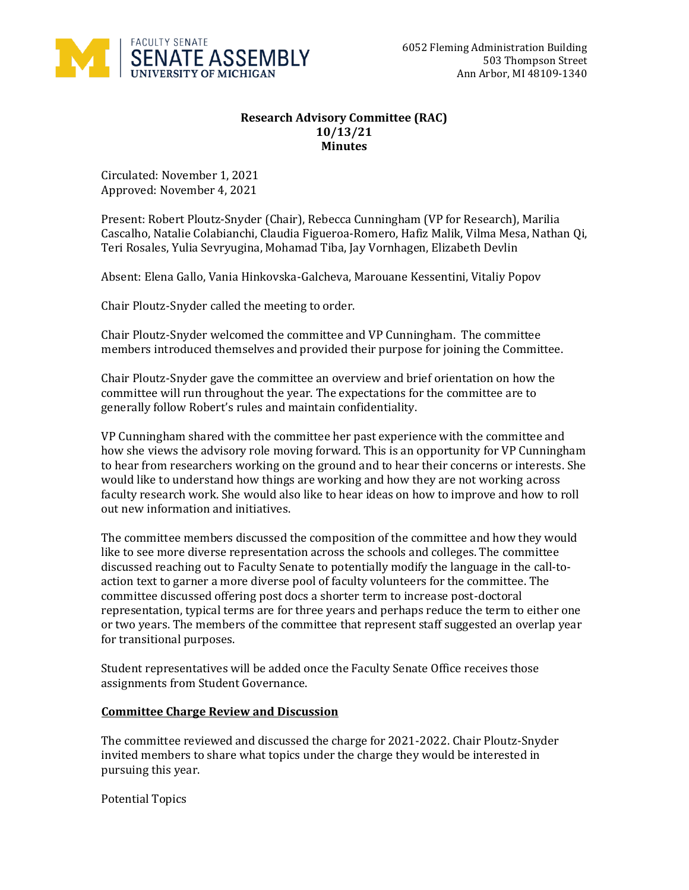

## **Research Advisory Committee (RAC) 10/13/21 Minutes**

Circulated: November 1, 2021 Approved: November 4, 2021

Present: Robert Ploutz-Snyder (Chair), Rebecca Cunningham (VP for Research), Marilia Cascalho, Natalie Colabianchi, Claudia Figueroa-Romero, Hafiz Malik, Vilma Mesa, Nathan Qi, Teri Rosales, Yulia Sevryugina, Mohamad Tiba, Jay Vornhagen, Elizabeth Devlin

Absent: Elena Gallo, Vania Hinkovska-Galcheva, Marouane Kessentini, Vitaliy Popov

Chair Ploutz-Snyder called the meeting to order.

Chair Ploutz-Snyder welcomed the committee and VP Cunningham. The committee members introduced themselves and provided their purpose for joining the Committee.

Chair Ploutz-Snyder gave the committee an overview and brief orientation on how the committee will run throughout the year. The expectations for the committee are to generally follow Robert's rules and maintain confidentiality.

VP Cunningham shared with the committee her past experience with the committee and how she views the advisory role moving forward. This is an opportunity for VP Cunningham to hear from researchers working on the ground and to hear their concerns or interests. She would like to understand how things are working and how they are not working across faculty research work. She would also like to hear ideas on how to improve and how to roll out new information and initiatives.

The committee members discussed the composition of the committee and how they would like to see more diverse representation across the schools and colleges. The committee discussed reaching out to Faculty Senate to potentially modify the language in the call-toaction text to garner a more diverse pool of faculty volunteers for the committee. The committee discussed offering post docs a shorter term to increase post-doctoral representation, typical terms are for three years and perhaps reduce the term to either one or two years. The members of the committee that represent staff suggested an overlap year for transitional purposes.

Student representatives will be added once the Faculty Senate Office receives those assignments from Student Governance.

## **Committee Charge Review and Discussion**

The committee reviewed and discussed the charge for 2021-2022. Chair Ploutz-Snyder invited members to share what topics under the charge they would be interested in pursuing this year.

Potential Topics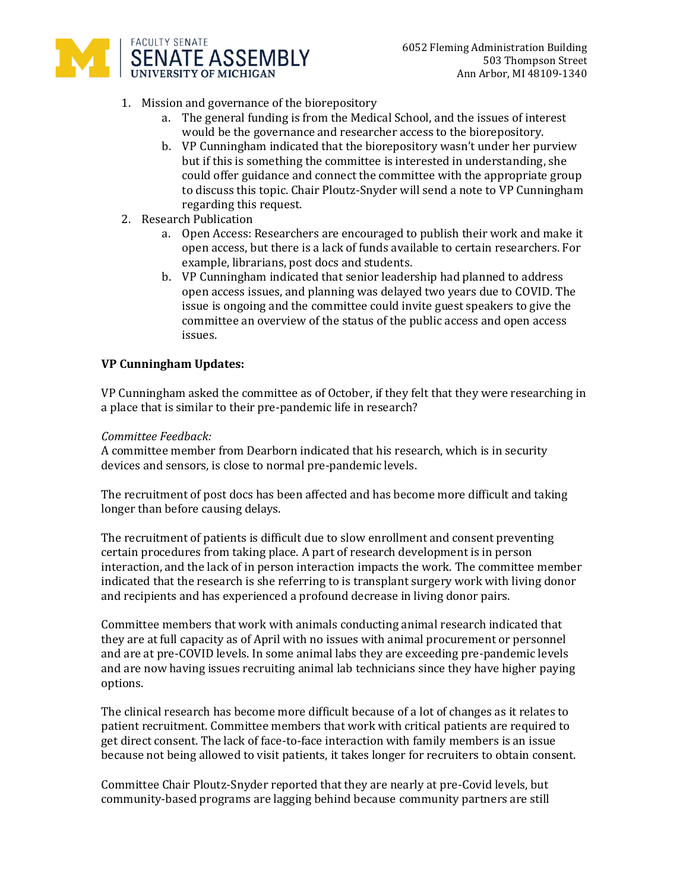

- 1. Mission and governance of the biorepository
	- a. The general funding is from the Medical School, and the issues of interest would be the governance and researcher access to the biorepository.
	- b. VP Cunningham indicated that the biorepository wasn't under her purview but if this is something the committee is interested in understanding, she could offer guidance and connect the committee with the appropriate group to discuss this topic. Chair Ploutz-Snyder will send a note to VP Cunningham regarding this request.
- 2. Research Publication
	- a. Open Access: Researchers are encouraged to publish their work and make it open access, but there is a lack of funds available to certain researchers. For example, librarians, post docs and students.
	- b. VP Cunningham indicated that senior leadership had planned to address open access issues, and planning was delayed two years due to COVID. The issue is ongoing and the committee could invite guest speakers to give the committee an overview of the status of the public access and open access issues.

## **VP Cunningham Updates:**

VP Cunningham asked the committee as of October, if they felt that they were researching in a place that is similar to their pre-pandemic life in research?

## *Committee Feedback:*

A committee member from Dearborn indicated that his research, which is in security devices and sensors, is close to normal pre-pandemic levels.

The recruitment of post docs has been affected and has become more difficult and taking longer than before causing delays.

The recruitment of patients is difficult due to slow enrollment and consent preventing certain procedures from taking place. A part of research development is in person interaction, and the lack of in person interaction impacts the work. The committee member indicated that the research is she referring to is transplant surgery work with living donor and recipients and has experienced a profound decrease in living donor pairs.

Committee members that work with animals conducting animal research indicated that they are at full capacity as of April with no issues with animal procurement or personnel and are at pre-COVID levels. In some animal labs they are exceeding pre-pandemic levels and are now having issues recruiting animal lab technicians since they have higher paying options.

The clinical research has become more difficult because of a lot of changes as it relates to patient recruitment. Committee members that work with critical patients are required to get direct consent. The lack of face-to-face interaction with family members is an issue because not being allowed to visit patients, it takes longer for recruiters to obtain consent.

Committee Chair Ploutz-Snyder reported that they are nearly at pre-Covid levels, but community-based programs are lagging behind because community partners are still